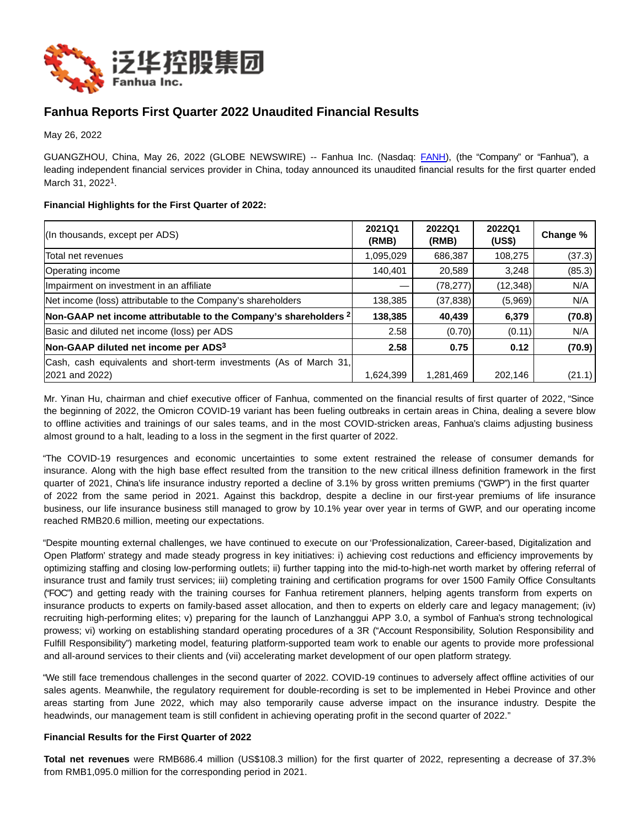

# **Fanhua Reports First Quarter 2022 Unaudited Financial Results**

May 26, 2022

GUANGZHOU, China, May 26, 2022 (GLOBE NEWSWIRE) -- Fanhua Inc. (Nasdaq: [FANH\),](https://www.globenewswire.com/Tracker?data=3epT6zdMOexgHVF8bU0rg4f8cTDO8_c2ZTAiINuxRgDY5mn3UGokzOIsvU9T5yo5uOWf5UBjJAL0JJMtzqyC0g==) (the "Company" or "Fanhua"), a leading independent financial services provider in China, today announced its unaudited financial results for the first quarter ended March 31, 2022<sup>1</sup>.

### **Financial Highlights for the First Quarter of 2022:**

| (In thousands, except per ADS)                                                       | 2021Q1<br>(RMB) | 2022Q1<br>(RMB) | 2022Q1<br>(US\$) | Change % |
|--------------------------------------------------------------------------------------|-----------------|-----------------|------------------|----------|
| Total net revenues                                                                   | 1,095,029       | 686.387         | 108,275          | (37.3)   |
| Operating income                                                                     | 140.401         | 20,589          | 3,248            | (85.3)   |
| Impairment on investment in an affiliate                                             |                 | (78, 277)       | (12, 348)        | N/A      |
| Net income (loss) attributable to the Company's shareholders                         | 138,385         | (37, 838)       | (5,969)          | N/A      |
| Non-GAAP net income attributable to the Company's shareholders $^{2}$                | 138,385         | 40,439          | 6,379            | (70.8)   |
| Basic and diluted net income (loss) per ADS                                          | 2.58            | (0.70)          | (0.11)           | N/A      |
| Non-GAAP diluted net income per ADS <sup>3</sup>                                     | 2.58            | 0.75            | 0.12             | (70.9)   |
| Cash, cash equivalents and short-term investments (As of March 31,<br>2021 and 2022) | 1.624.399       | 1,281,469       | 202.146          | (21.1)   |

Mr. Yinan Hu, chairman and chief executive officer of Fanhua, commented on the financial results of first quarter of 2022, "Since the beginning of 2022, the Omicron COVID-19 variant has been fueling outbreaks in certain areas in China, dealing a severe blow to offline activities and trainings of our sales teams, and in the most COVID-stricken areas, Fanhua's claims adjusting business almost ground to a halt, leading to a loss in the segment in the first quarter of 2022.

"The COVID-19 resurgences and economic uncertainties to some extent restrained the release of consumer demands for insurance. Along with the high base effect resulted from the transition to the new critical illness definition framework in the first quarter of 2021, China's life insurance industry reported a decline of 3.1% by gross written premiums ("GWP") in the first quarter of 2022 from the same period in 2021. Against this backdrop, despite a decline in our first-year premiums of life insurance business, our life insurance business still managed to grow by 10.1% year over year in terms of GWP, and our operating income reached RMB20.6 million, meeting our expectations.

"Despite mounting external challenges, we have continued to execute on our 'Professionalization, Career-based, Digitalization and Open Platform' strategy and made steady progress in key initiatives: i) achieving cost reductions and efficiency improvements by optimizing staffing and closing low-performing outlets; ii) further tapping into the mid-to-high-net worth market by offering referral of insurance trust and family trust services; iii) completing training and certification programs for over 1500 Family Office Consultants ("FOC") and getting ready with the training courses for Fanhua retirement planners, helping agents transform from experts on insurance products to experts on family-based asset allocation, and then to experts on elderly care and legacy management; (iv) recruiting high-performing elites; v) preparing for the launch of Lanzhanggui APP 3.0, a symbol of Fanhua's strong technological prowess; vi) working on establishing standard operating procedures of a 3R ("Account Responsibility, Solution Responsibility and Fulfill Responsibility") marketing model, featuring platform-supported team work to enable our agents to provide more professional and all-around services to their clients and (vii) accelerating market development of our open platform strategy.

"We still face tremendous challenges in the second quarter of 2022. COVID-19 continues to adversely affect offline activities of our sales agents. Meanwhile, the regulatory requirement for double-recording is set to be implemented in Hebei Province and other areas starting from June 2022, which may also temporarily cause adverse impact on the insurance industry. Despite the headwinds, our management team is still confident in achieving operating profit in the second quarter of 2022."

### **Financial Results for the First Quarter of 2022**

**Total net revenues** were RMB686.4 million (US\$108.3 million) for the first quarter of 2022, representing a decrease of 37.3% from RMB1,095.0 million for the corresponding period in 2021.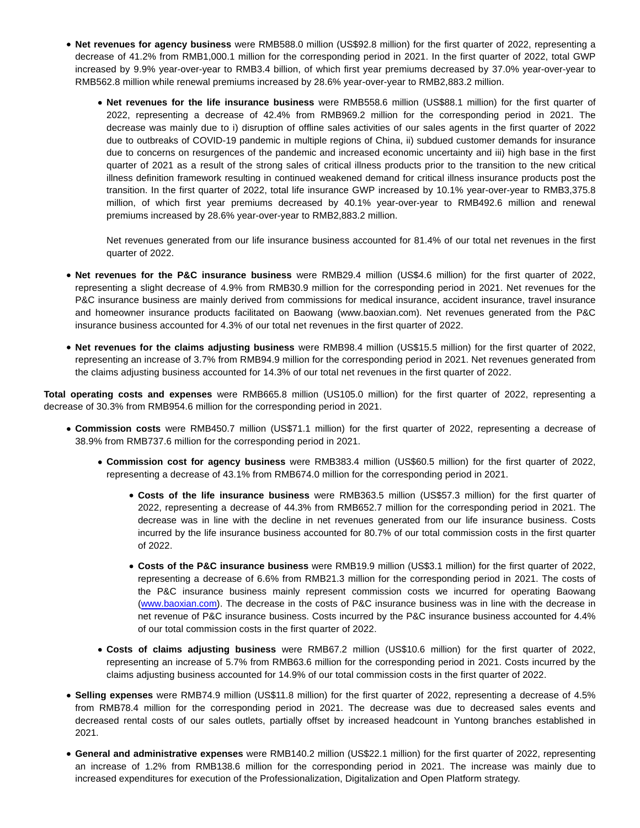- **Net revenues for agency business** were RMB588.0 million (US\$92.8 million) for the first quarter of 2022, representing a decrease of 41.2% from RMB1,000.1 million for the corresponding period in 2021. In the first quarter of 2022, total GWP increased by 9.9% year-over-year to RMB3.4 billion, of which first year premiums decreased by 37.0% year-over-year to RMB562.8 million while renewal premiums increased by 28.6% year-over-year to RMB2,883.2 million.
	- **Net revenues for the life insurance business** were RMB558.6 million (US\$88.1 million) for the first quarter of 2022, representing a decrease of 42.4% from RMB969.2 million for the corresponding period in 2021. The decrease was mainly due to i) disruption of offline sales activities of our sales agents in the first quarter of 2022 due to outbreaks of COVID-19 pandemic in multiple regions of China, ii) subdued customer demands for insurance due to concerns on resurgences of the pandemic and increased economic uncertainty and iii) high base in the first quarter of 2021 as a result of the strong sales of critical illness products prior to the transition to the new critical illness definition framework resulting in continued weakened demand for critical illness insurance products post the transition. In the first quarter of 2022, total life insurance GWP increased by 10.1% year-over-year to RMB3,375.8 million, of which first year premiums decreased by 40.1% year-over-year to RMB492.6 million and renewal premiums increased by 28.6% year-over-year to RMB2,883.2 million.

Net revenues generated from our life insurance business accounted for 81.4% of our total net revenues in the first quarter of 2022.

- **Net revenues for the P&C insurance business** were RMB29.4 million (US\$4.6 million) for the first quarter of 2022, representing a slight decrease of 4.9% from RMB30.9 million for the corresponding period in 2021. Net revenues for the P&C insurance business are mainly derived from commissions for medical insurance, accident insurance, travel insurance and homeowner insurance products facilitated on Baowang (www.baoxian.com). Net revenues generated from the P&C insurance business accounted for 4.3% of our total net revenues in the first quarter of 2022.
- **Net revenues for the claims adjusting business** were RMB98.4 million (US\$15.5 million) for the first quarter of 2022, representing an increase of 3.7% from RMB94.9 million for the corresponding period in 2021. Net revenues generated from the claims adjusting business accounted for 14.3% of our total net revenues in the first quarter of 2022.

**Total operating costs and expenses** were RMB665.8 million (US105.0 million) for the first quarter of 2022, representing a decrease of 30.3% from RMB954.6 million for the corresponding period in 2021.

- **Commission costs** were RMB450.7 million (US\$71.1 million) for the first quarter of 2022, representing a decrease of 38.9% from RMB737.6 million for the corresponding period in 2021.
	- **Commission cost for agency business** were RMB383.4 million (US\$60.5 million) for the first quarter of 2022, representing a decrease of 43.1% from RMB674.0 million for the corresponding period in 2021.
		- **Costs of the life insurance business** were RMB363.5 million (US\$57.3 million) for the first quarter of 2022, representing a decrease of 44.3% from RMB652.7 million for the corresponding period in 2021. The decrease was in line with the decline in net revenues generated from our life insurance business. Costs incurred by the life insurance business accounted for 80.7% of our total commission costs in the first quarter of 2022.
		- **Costs of the P&C insurance business** were RMB19.9 million (US\$3.1 million) for the first quarter of 2022, representing a decrease of 6.6% from RMB21.3 million for the corresponding period in 2021. The costs of the P&C insurance business mainly represent commission costs we incurred for operating Baowang [\(www.baoxian.com\)](http://www.baoxian.com/). The decrease in the costs of P&C insurance business was in line with the decrease in net revenue of P&C insurance business. Costs incurred by the P&C insurance business accounted for 4.4% of our total commission costs in the first quarter of 2022.
	- **Costs of claims adjusting business** were RMB67.2 million (US\$10.6 million) for the first quarter of 2022, representing an increase of 5.7% from RMB63.6 million for the corresponding period in 2021. Costs incurred by the claims adjusting business accounted for 14.9% of our total commission costs in the first quarter of 2022.
- **Selling expenses** were RMB74.9 million (US\$11.8 million) for the first quarter of 2022, representing a decrease of 4.5% from RMB78.4 million for the corresponding period in 2021. The decrease was due to decreased sales events and decreased rental costs of our sales outlets, partially offset by increased headcount in Yuntong branches established in 2021.
- **General and administrative expenses** were RMB140.2 million (US\$22.1 million) for the first quarter of 2022, representing an increase of 1.2% from RMB138.6 million for the corresponding period in 2021. The increase was mainly due to increased expenditures for execution of the Professionalization, Digitalization and Open Platform strategy.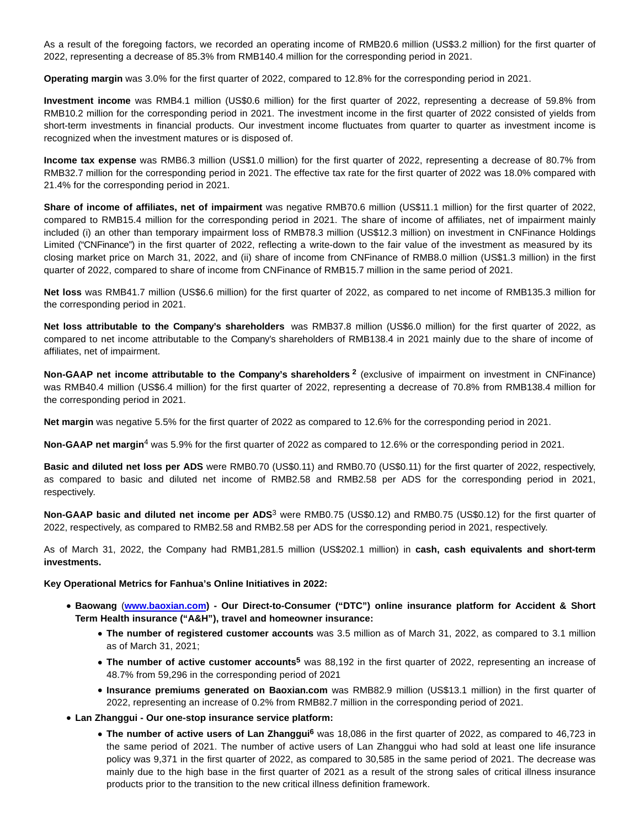As a result of the foregoing factors, we recorded an operating income of RMB20.6 million (US\$3.2 million) for the first quarter of 2022, representing a decrease of 85.3% from RMB140.4 million for the corresponding period in 2021.

**Operating margin** was 3.0% for the first quarter of 2022, compared to 12.8% for the corresponding period in 2021.

**Investment income** was RMB4.1 million (US\$0.6 million) for the first quarter of 2022, representing a decrease of 59.8% from RMB10.2 million for the corresponding period in 2021. The investment income in the first quarter of 2022 consisted of yields from short-term investments in financial products. Our investment income fluctuates from quarter to quarter as investment income is recognized when the investment matures or is disposed of.

**Income tax expense** was RMB6.3 million (US\$1.0 million) for the first quarter of 2022, representing a decrease of 80.7% from RMB32.7 million for the corresponding period in 2021. The effective tax rate for the first quarter of 2022 was 18.0% compared with 21.4% for the corresponding period in 2021.

**Share of income of affiliates, net of impairment** was negative RMB70.6 million (US\$11.1 million) for the first quarter of 2022, compared to RMB15.4 million for the corresponding period in 2021. The share of income of affiliates, net of impairment mainly included (i) an other than temporary impairment loss of RMB78.3 million (US\$12.3 million) on investment in CNFinance Holdings Limited ("CNFinance") in the first quarter of 2022, reflecting a write-down to the fair value of the investment as measured by its closing market price on March 31, 2022, and (ii) share of income from CNFinance of RMB8.0 million (US\$1.3 million) in the first quarter of 2022, compared to share of income from CNFinance of RMB15.7 million in the same period of 2021.

**Net loss** was RMB41.7 million (US\$6.6 million) for the first quarter of 2022, as compared to net income of RMB135.3 million for the corresponding period in 2021.

**Net loss attributable to the Company's shareholders** was RMB37.8 million (US\$6.0 million) for the first quarter of 2022, as compared to net income attributable to the Company's shareholders of RMB138.4 in 2021 mainly due to the share of income of affiliates, net of impairment.

**Non-GAAP net income attributable to the Company's shareholders <sup>2</sup>** (exclusive of impairment on investment in CNFinance) was RMB40.4 million (US\$6.4 million) for the first quarter of 2022, representing a decrease of 70.8% from RMB138.4 million for the corresponding period in 2021.

**Net margin** was negative 5.5% for the first quarter of 2022 as compared to 12.6% for the corresponding period in 2021.

Non-GAAP net margin<sup>4</sup> was 5.9% for the first quarter of 2022 as compared to 12.6% or the corresponding period in 2021.

**Basic and diluted net loss per ADS** were RMB0.70 (US\$0.11) and RMB0.70 (US\$0.11) for the first quarter of 2022, respectively, as compared to basic and diluted net income of RMB2.58 and RMB2.58 per ADS for the corresponding period in 2021, respectively.

**Non-GAAP basic and diluted net income per ADS**<sup>3</sup> were RMB0.75 (US\$0.12) and RMB0.75 (US\$0.12) for the first quarter of 2022, respectively, as compared to RMB2.58 and RMB2.58 per ADS for the corresponding period in 2021, respectively.

As of March 31, 2022, the Company had RMB1,281.5 million (US\$202.1 million) in **cash, cash equivalents and short-term investments.**

### **Key Operational Metrics for Fanhua's Online Initiatives in 2022:**

- **Baowang** (**[www.baoxian.com\)](http://www.baoxian.com/) Our Direct-to-Consumer ("DTC") online insurance platform for Accident & Short Term Health insurance ("A&H"), travel and homeowner insurance:**
	- **The number of registered customer accounts** was 3.5 million as of March 31, 2022, as compared to 3.1 million as of March 31, 2021;
	- **The number of active customer accounts<sup>5</sup>** was 88,192 in the first quarter of 2022, representing an increase of 48.7% from 59,296 in the corresponding period of 2021
	- **Insurance premiums generated on Baoxian.com** was RMB82.9 million (US\$13.1 million) in the first quarter of 2022, representing an increase of 0.2% from RMB82.7 million in the corresponding period of 2021.
- **Lan Zhanggui Our one-stop insurance service platform:**
	- **The number of active users of Lan Zhanggui<sup>6</sup>** was 18,086 in the first quarter of 2022, as compared to 46,723 in the same period of 2021. The number of active users of Lan Zhanggui who had sold at least one life insurance policy was 9,371 in the first quarter of 2022, as compared to 30,585 in the same period of 2021. The decrease was mainly due to the high base in the first quarter of 2021 as a result of the strong sales of critical illness insurance products prior to the transition to the new critical illness definition framework.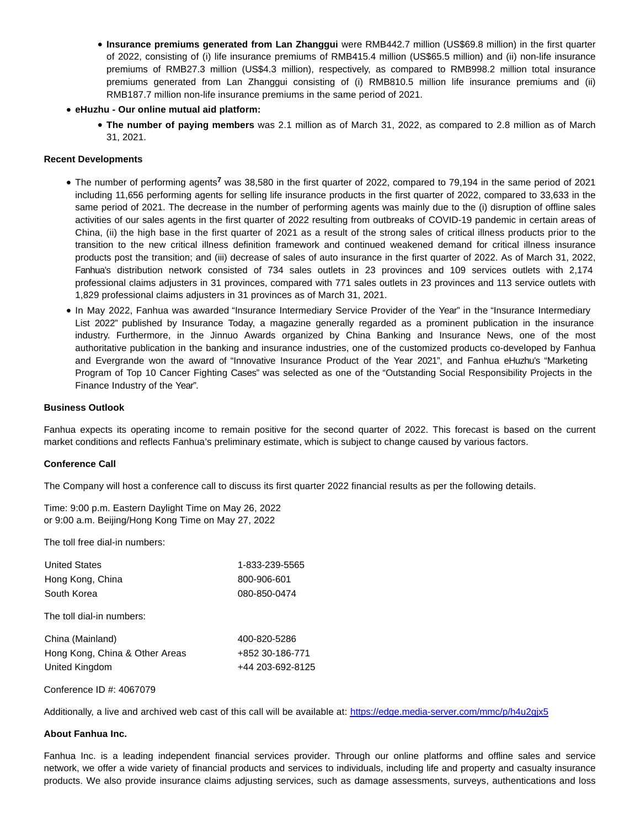- **Insurance premiums generated from Lan Zhanggui** were RMB442.7 million (US\$69.8 million) in the first quarter of 2022, consisting of (i) life insurance premiums of RMB415.4 million (US\$65.5 million) and (ii) non-life insurance premiums of RMB27.3 million (US\$4.3 million), respectively, as compared to RMB998.2 million total insurance premiums generated from Lan Zhanggui consisting of (i) RMB810.5 million life insurance premiums and (ii) RMB187.7 million non-life insurance premiums in the same period of 2021.
- **eHuzhu Our online mutual aid platform:**
	- **The number of paying members** was 2.1 million as of March 31, 2022, as compared to 2.8 million as of March 31, 2021.

### **Recent Developments**

- The number of performing agents<sup>7</sup> was 38,580 in the first quarter of 2022, compared to 79,194 in the same period of 2021 including 11,656 performing agents for selling life insurance products in the first quarter of 2022, compared to 33,633 in the same period of 2021. The decrease in the number of performing agents was mainly due to the (i) disruption of offline sales activities of our sales agents in the first quarter of 2022 resulting from outbreaks of COVID-19 pandemic in certain areas of China, (ii) the high base in the first quarter of 2021 as a result of the strong sales of critical illness products prior to the transition to the new critical illness definition framework and continued weakened demand for critical illness insurance products post the transition; and (iii) decrease of sales of auto insurance in the first quarter of 2022. As of March 31, 2022, Fanhua's distribution network consisted of 734 sales outlets in 23 provinces and 109 services outlets with 2,174 professional claims adjusters in 31 provinces, compared with 771 sales outlets in 23 provinces and 113 service outlets with 1,829 professional claims adjusters in 31 provinces as of March 31, 2021.
- In May 2022, Fanhua was awarded "Insurance Intermediary Service Provider of the Year" in the "Insurance Intermediary List 2022" published by Insurance Today, a magazine generally regarded as a prominent publication in the insurance industry. Furthermore, in the Jinnuo Awards organized by China Banking and Insurance News, one of the most authoritative publication in the banking and insurance industries, one of the customized products co-developed by Fanhua and Evergrande won the award of "Innovative Insurance Product of the Year 2021", and Fanhua eHuzhu's "Marketing Program of Top 10 Cancer Fighting Cases" was selected as one of the "Outstanding Social Responsibility Projects in the Finance Industry of the Year".

### **Business Outlook**

Fanhua expects its operating income to remain positive for the second quarter of 2022. This forecast is based on the current market conditions and reflects Fanhua's preliminary estimate, which is subject to change caused by various factors.

### **Conference Call**

The Company will host a conference call to discuss its first quarter 2022 financial results as per the following details.

Time: 9:00 p.m. Eastern Daylight Time on May 26, 2022 or 9:00 a.m. Beijing/Hong Kong Time on May 27, 2022

The toll free dial-in numbers:

| <b>United States</b>           | 1-833-239-5565   |
|--------------------------------|------------------|
| Hong Kong, China               | 800-906-601      |
| South Korea                    | 080-850-0474     |
| The toll dial-in numbers:      |                  |
| China (Mainland)               | 400-820-5286     |
| Hong Kong, China & Other Areas | +852 30-186-771  |
| United Kingdom                 | +44 203-692-8125 |
| Conference ID #: 4067079       |                  |

Additionally, a live and archived web cast of this call will be available at: [https://edge.media-server.com/mmc/p/h4u2gjx5](https://www.globenewswire.com/Tracker?data=UFWAfxYXUieyUsyhMrz5zp8jDyVdCLJae9x3dO-dN_hyN0kypyU5G8rrz3VtRLdi80pYN1eZeYYTNepks99luKwz24yQfKWwpUDBHYwud62MftllpyppzucQ_XXHJyX5MxyR4zMAOm5Hf1aVGFXyjw==)

### **About Fanhua Inc.**

Fanhua Inc. is a leading independent financial services provider. Through our online platforms and offline sales and service network, we offer a wide variety of financial products and services to individuals, including life and property and casualty insurance products. We also provide insurance claims adjusting services, such as damage assessments, surveys, authentications and loss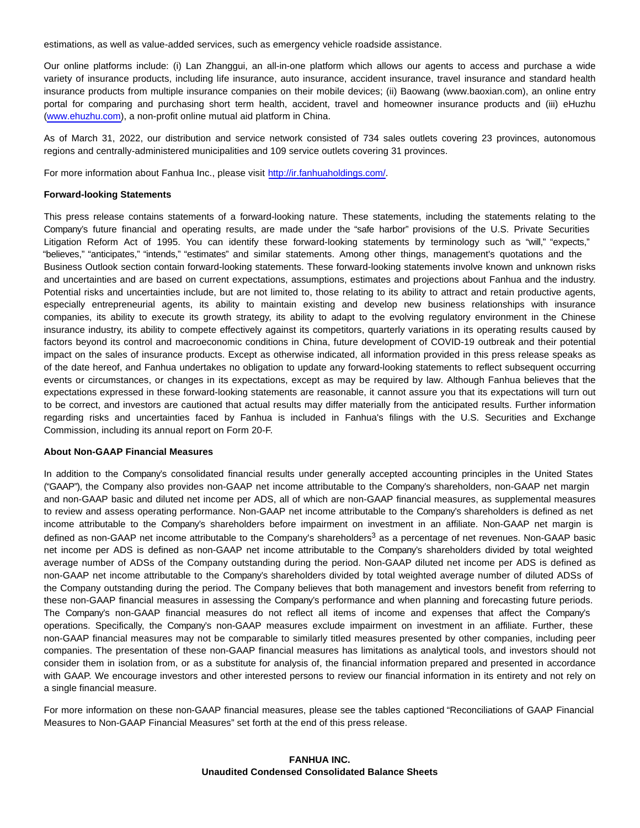estimations, as well as value-added services, such as emergency vehicle roadside assistance.

Our online platforms include: (i) Lan Zhanggui, an all-in-one platform which allows our agents to access and purchase a wide variety of insurance products, including life insurance, auto insurance, accident insurance, travel insurance and standard health insurance products from multiple insurance companies on their mobile devices; (ii) Baowang (www.baoxian.com), an online entry portal for comparing and purchasing short term health, accident, travel and homeowner insurance products and (iii) eHuzhu [\(www.ehuzhu.com\)](https://www.globenewswire.com/Tracker?data=WNpArHuk_MxkkoJ6TwwjnDfp9bJZGMWguWaW6MgdEB0vVLzFH7KTIqWLQNr8dvK6P9CxkHDKHzs9xy9AJMUGaBeslsddSvVprj61yI_eEQs7ciJSVCdtapboF21H4GT_WCJFFhR6DTN65a2gUcXlFAX0SUwdsztocopAKO2rzM-7e5lc10J6KnB-cvH_vzXn9be10wZCY6xtb8IZjHnIbglJWJs7J6cLBTehZ6VQ64w=), a non-profit online mutual aid platform in China.

As of March 31, 2022, our distribution and service network consisted of 734 sales outlets covering 23 provinces, autonomous regions and centrally-administered municipalities and 109 service outlets covering 31 provinces.

For more information about Fanhua Inc., please visit [http://ir.fanhuaholdings.com/.](https://www.globenewswire.com/Tracker?data=UTeqhpyL52xMhcaCBV-fvyngRbLFstE_24HyztpOX-iEjmsgzdvzBzvEBZuBWVHEuP6eO1ogKeU3CZzyIV8Nk9uFY9iQbklnnSyASifzxTsj2WOisFVebJKyoInPAO87)

#### **Forward-looking Statements**

This press release contains statements of a forward-looking nature. These statements, including the statements relating to the Company's future financial and operating results, are made under the "safe harbor" provisions of the U.S. Private Securities Litigation Reform Act of 1995. You can identify these forward-looking statements by terminology such as "will," "expects," "believes," "anticipates," "intends," "estimates" and similar statements. Among other things, management's quotations and the Business Outlook section contain forward-looking statements. These forward-looking statements involve known and unknown risks and uncertainties and are based on current expectations, assumptions, estimates and projections about Fanhua and the industry. Potential risks and uncertainties include, but are not limited to, those relating to its ability to attract and retain productive agents, especially entrepreneurial agents, its ability to maintain existing and develop new business relationships with insurance companies, its ability to execute its growth strategy, its ability to adapt to the evolving regulatory environment in the Chinese insurance industry, its ability to compete effectively against its competitors, quarterly variations in its operating results caused by factors beyond its control and macroeconomic conditions in China, future development of COVID-19 outbreak and their potential impact on the sales of insurance products. Except as otherwise indicated, all information provided in this press release speaks as of the date hereof, and Fanhua undertakes no obligation to update any forward-looking statements to reflect subsequent occurring events or circumstances, or changes in its expectations, except as may be required by law. Although Fanhua believes that the expectations expressed in these forward-looking statements are reasonable, it cannot assure you that its expectations will turn out to be correct, and investors are cautioned that actual results may differ materially from the anticipated results. Further information regarding risks and uncertainties faced by Fanhua is included in Fanhua's filings with the U.S. Securities and Exchange Commission, including its annual report on Form 20-F.

### **About Non-GAAP Financial Measures**

In addition to the Company's consolidated financial results under generally accepted accounting principles in the United States ("GAAP"), the Company also provides non-GAAP net income attributable to the Company's shareholders, non-GAAP net margin and non-GAAP basic and diluted net income per ADS, all of which are non-GAAP financial measures, as supplemental measures to review and assess operating performance. Non-GAAP net income attributable to the Company's shareholders is defined as net income attributable to the Company's shareholders before impairment on investment in an affiliate. Non-GAAP net margin is defined as non-GAAP net income attributable to the Company's shareholders<sup>3</sup> as a percentage of net revenues. Non-GAAP basic net income per ADS is defined as non-GAAP net income attributable to the Company's shareholders divided by total weighted average number of ADSs of the Company outstanding during the period. Non-GAAP diluted net income per ADS is defined as non-GAAP net income attributable to the Company's shareholders divided by total weighted average number of diluted ADSs of the Company outstanding during the period. The Company believes that both management and investors benefit from referring to these non-GAAP financial measures in assessing the Company's performance and when planning and forecasting future periods. The Company's non-GAAP financial measures do not reflect all items of income and expenses that affect the Company's operations. Specifically, the Company's non-GAAP measures exclude impairment on investment in an affiliate. Further, these non-GAAP financial measures may not be comparable to similarly titled measures presented by other companies, including peer companies. The presentation of these non-GAAP financial measures has limitations as analytical tools, and investors should not consider them in isolation from, or as a substitute for analysis of, the financial information prepared and presented in accordance with GAAP. We encourage investors and other interested persons to review our financial information in its entirety and not rely on a single financial measure.

For more information on these non-GAAP financial measures, please see the tables captioned "Reconciliations of GAAP Financial Measures to Non-GAAP Financial Measures" set forth at the end of this press release.

### **FANHUA INC. Unaudited Condensed Consolidated Balance Sheets**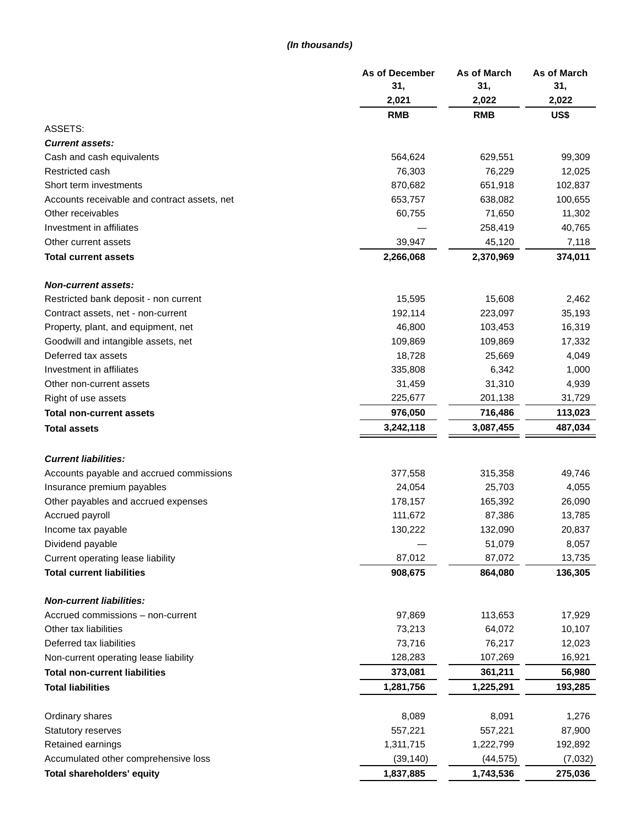### **(In thousands)**

|                                              | As of December | As of March       | As of March<br>31, |  |
|----------------------------------------------|----------------|-------------------|--------------------|--|
|                                              | 31,            | 31,               |                    |  |
|                                              | 2,021          | 2,022             | 2,022              |  |
| ASSETS:                                      | <b>RMB</b>     | <b>RMB</b>        | US\$               |  |
| <b>Current assets:</b>                       |                |                   |                    |  |
| Cash and cash equivalents                    | 564,624        | 629,551           | 99,309             |  |
| Restricted cash                              | 76,303         | 76,229            | 12,025             |  |
| Short term investments                       | 870,682        | 651,918           | 102,837            |  |
| Accounts receivable and contract assets, net | 653,757        | 638,082           | 100,655            |  |
| Other receivables                            | 60,755         | 71,650            | 11,302             |  |
| Investment in affiliates                     |                | 258,419           | 40,765             |  |
| Other current assets                         | 39,947         | 45,120            | 7,118              |  |
| <b>Total current assets</b>                  | 2,266,068      | 2,370,969         | 374,011            |  |
| <b>Non-current assets:</b>                   |                |                   |                    |  |
| Restricted bank deposit - non current        | 15,595         | 15,608            | 2,462              |  |
| Contract assets, net - non-current           | 192,114        | 223,097           | 35,193             |  |
| Property, plant, and equipment, net          | 46,800         | 103,453           | 16,319             |  |
| Goodwill and intangible assets, net          | 109,869        | 109,869           | 17,332             |  |
| Deferred tax assets                          | 18,728         | 25,669            | 4,049              |  |
| Investment in affiliates                     | 335,808        | 6,342             | 1,000              |  |
| Other non-current assets                     | 31,459         | 31,310<br>201,138 | 4,939              |  |
| Right of use assets                          | 225,677        |                   | 31,729             |  |
| <b>Total non-current assets</b>              | 976,050        | 716,486           | 113,023            |  |
| <b>Total assets</b>                          | 3,242,118      | 3,087,455         | 487,034            |  |
| <b>Current liabilities:</b>                  |                |                   |                    |  |
| Accounts payable and accrued commissions     | 377,558        | 315,358           | 49,746             |  |
| Insurance premium payables                   | 24,054         | 25,703            | 4,055              |  |
| Other payables and accrued expenses          | 178,157        | 165,392           | 26,090             |  |
| Accrued payroll                              | 111,672        | 87,386            | 13,785             |  |
| Income tax payable                           | 130,222        | 132,090           | 20,837             |  |
| Dividend payable                             |                | 51,079            | 8,057              |  |
| Current operating lease liability            | 87,012         | 87,072            | 13,735             |  |
| <b>Total current liabilities</b>             | 908,675        | 864,080           | 136,305            |  |
| <b>Non-current liabilities:</b>              |                |                   |                    |  |
| Accrued commissions - non-current            | 97,869         | 113,653           | 17,929             |  |
| Other tax liabilities                        | 73,213         | 64,072            | 10,107             |  |
| Deferred tax liabilities                     | 73,716         | 76,217            | 12,023             |  |
| Non-current operating lease liability        | 128,283        | 107,269           | 16,921             |  |
| <b>Total non-current liabilities</b>         | 373,081        | 361,211           | 56,980             |  |
| <b>Total liabilities</b>                     | 1,281,756      | 1,225,291         | 193,285            |  |
| Ordinary shares                              | 8,089          | 8,091             | 1,276              |  |
| Statutory reserves                           | 557,221        | 557,221           | 87,900             |  |
| Retained earnings                            | 1,311,715      | 1,222,799         | 192,892            |  |
| Accumulated other comprehensive loss         | (39, 140)      | (44, 575)         | (7,032)            |  |
| Total shareholders' equity                   | 1,837,885      | 1,743,536         | 275,036            |  |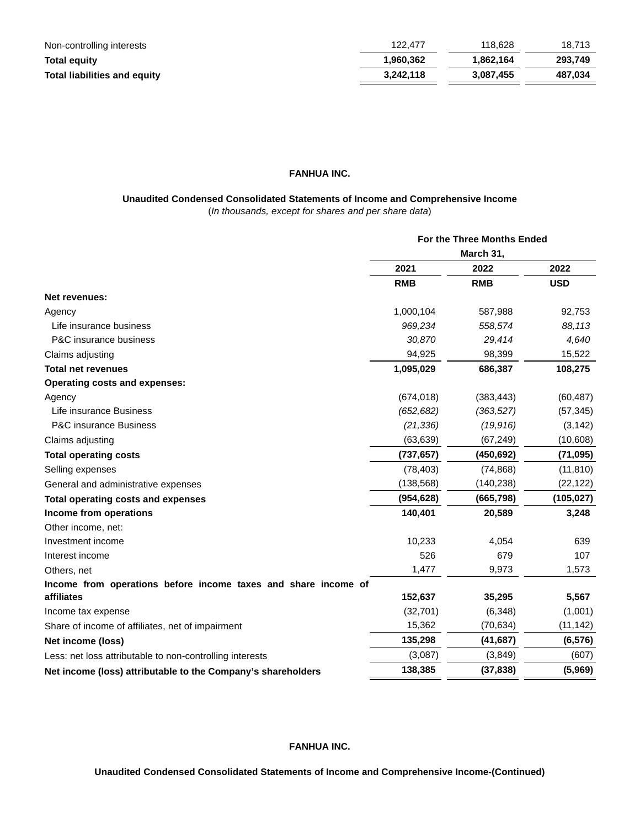| Non-controlling interests    | 122.477   | 118.628   | 18.713  |
|------------------------------|-----------|-----------|---------|
| <b>Total equity</b>          | 1.960.362 | 1.862.164 | 293,749 |
| Total liabilities and equity | 3,242,118 | 3,087,455 | 487.034 |

## **FANHUA INC.**

### **Unaudited Condensed Consolidated Statements of Income and Comprehensive Income** (In thousands, except for shares and per share data)

|                                                                | For the Three Months Ended |            |            |  |
|----------------------------------------------------------------|----------------------------|------------|------------|--|
|                                                                | March 31,                  |            |            |  |
|                                                                | 2021                       | 2022       | 2022       |  |
|                                                                | <b>RMB</b>                 | <b>RMB</b> | <b>USD</b> |  |
| Net revenues:                                                  |                            |            |            |  |
| Agency                                                         | 1,000,104                  | 587,988    | 92,753     |  |
| Life insurance business                                        | 969,234                    | 558,574    | 88,113     |  |
| P&C insurance business                                         | 30,870                     | 29,414     | 4,640      |  |
| Claims adjusting                                               | 94,925                     | 98,399     | 15,522     |  |
| <b>Total net revenues</b>                                      | 1,095,029                  | 686,387    | 108,275    |  |
| <b>Operating costs and expenses:</b>                           |                            |            |            |  |
| Agency                                                         | (674, 018)                 | (383, 443) | (60, 487)  |  |
| Life insurance Business                                        | (652, 682)                 | (363, 527) | (57, 345)  |  |
| <b>P&amp;C</b> insurance Business                              | (21, 336)                  | (19, 916)  | (3, 142)   |  |
| Claims adjusting                                               | (63, 639)                  | (67, 249)  | (10,608)   |  |
| <b>Total operating costs</b>                                   | (737, 657)                 | (450, 692) | (71, 095)  |  |
| Selling expenses                                               | (78, 403)                  | (74, 868)  | (11, 810)  |  |
| General and administrative expenses                            | (138, 568)                 | (140, 238) | (22, 122)  |  |
| <b>Total operating costs and expenses</b>                      | (954, 628)                 | (665, 798) | (105, 027) |  |
| Income from operations                                         | 140,401                    | 20,589     | 3,248      |  |
| Other income, net:                                             |                            |            |            |  |
| Investment income                                              | 10,233                     | 4,054      | 639        |  |
| Interest income                                                | 526                        | 679        | 107        |  |
| Others, net                                                    | 1,477                      | 9,973      | 1,573      |  |
| Income from operations before income taxes and share income of |                            |            |            |  |
| affiliates                                                     | 152,637                    | 35,295     | 5,567      |  |
| Income tax expense                                             | (32,701)                   | (6,348)    | (1,001)    |  |
| Share of income of affiliates, net of impairment               | 15,362                     | (70, 634)  | (11,142)   |  |
| Net income (loss)                                              | 135,298                    | (41, 687)  | (6, 576)   |  |
| Less: net loss attributable to non-controlling interests       | (3,087)                    | (3,849)    | (607)      |  |
| Net income (loss) attributable to the Company's shareholders   | 138,385                    | (37, 838)  | (5,969)    |  |

### **FANHUA INC.**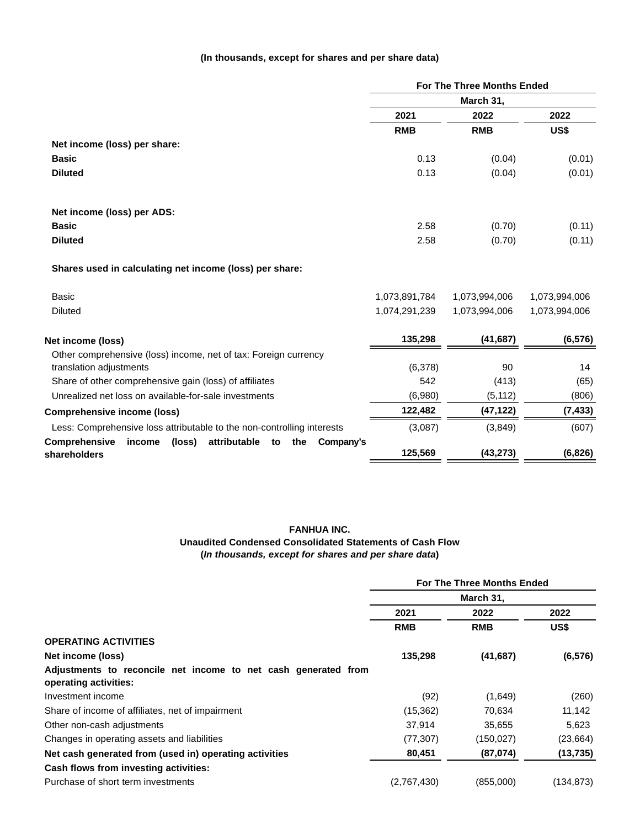### **(In thousands, except for shares and per share data)**

|                                                                                            | For The Three Months Ended |               |               |  |
|--------------------------------------------------------------------------------------------|----------------------------|---------------|---------------|--|
|                                                                                            | March 31,                  |               |               |  |
|                                                                                            | 2021                       | 2022          | 2022          |  |
|                                                                                            | <b>RMB</b>                 | <b>RMB</b>    | US\$          |  |
| Net income (loss) per share:                                                               |                            |               |               |  |
| <b>Basic</b>                                                                               | 0.13                       | (0.04)        | (0.01)        |  |
| <b>Diluted</b>                                                                             | 0.13                       | (0.04)        | (0.01)        |  |
| Net income (loss) per ADS:                                                                 |                            |               |               |  |
| <b>Basic</b>                                                                               | 2.58                       | (0.70)        | (0.11)        |  |
| <b>Diluted</b>                                                                             | 2.58                       | (0.70)        | (0.11)        |  |
| Shares used in calculating net income (loss) per share:                                    |                            |               |               |  |
| Basic                                                                                      | 1,073,891,784              | 1,073,994,006 | 1,073,994,006 |  |
| <b>Diluted</b>                                                                             | 1,074,291,239              | 1,073,994,006 | 1,073,994,006 |  |
| Net income (loss)                                                                          | 135,298                    | (41, 687)     | (6, 576)      |  |
| Other comprehensive (loss) income, net of tax: Foreign currency<br>translation adjustments | (6,378)                    | 90            | 14            |  |

Share of other comprehensive gain (loss) of affiliates 542 (413) (65) Unrealized net loss on available-for-sale investments (6,980) (5,112) (806) **Comprehensive income (loss) 122,482 (47,122) (7,433)** Less: Comprehensive loss attributable to the non-controlling interests (3,087) (3,849) (607)

**shareholders 125,569 (43,273) (6,826)**

**Comprehensive income (loss) attributable to the Company's**

## **FANHUA INC.**

### **Unaudited Condensed Consolidated Statements of Cash Flow (In thousands, except for shares and per share data)**

|                                                                | <b>For The Three Months Ended</b><br>March 31, |            |            |
|----------------------------------------------------------------|------------------------------------------------|------------|------------|
|                                                                |                                                |            |            |
|                                                                | 2021                                           | 2022       | 2022       |
|                                                                | <b>RMB</b>                                     | <b>RMB</b> | US\$       |
| <b>OPERATING ACTIVITIES</b>                                    |                                                |            |            |
| Net income (loss)                                              | 135,298                                        | (41, 687)  | (6, 576)   |
| Adjustments to reconcile net income to net cash generated from |                                                |            |            |
| operating activities:                                          |                                                |            |            |
| Investment income                                              | (92)                                           | (1,649)    | (260)      |
| Share of income of affiliates, net of impairment               | (15, 362)                                      | 70,634     | 11,142     |
| Other non-cash adjustments                                     | 37,914                                         | 35,655     | 5,623      |
| Changes in operating assets and liabilities                    | (77, 307)                                      | (150, 027) | (23, 664)  |
| Net cash generated from (used in) operating activities         | 80,451                                         | (87,074)   | (13, 735)  |
| Cash flows from investing activities:                          |                                                |            |            |
| Purchase of short term investments                             | (2,767,430)                                    | (855,000)  | (134, 873) |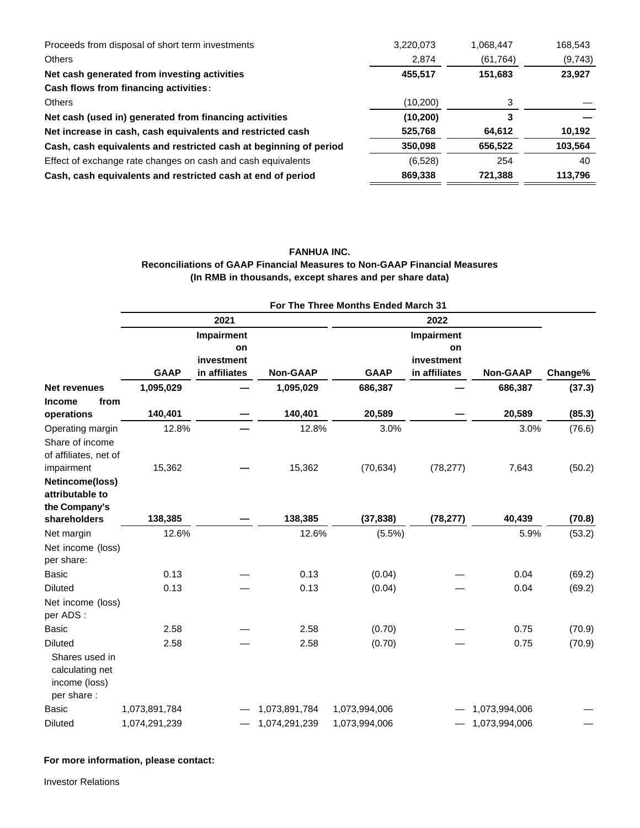| 3,220,073 | 1,068,447 | 168,543 |
|-----------|-----------|---------|
| 2,874     | (61, 764) | (9,743) |
| 455,517   | 151,683   | 23,927  |
|           |           |         |
| (10,200)  | 3         |         |
| (10, 200) |           |         |
| 525,768   | 64,612    | 10,192  |
| 350,098   | 656,522   | 103,564 |
| (6, 528)  | 254       | 40      |
| 869,338   | 721,388   | 113,796 |
|           |           |         |

## **FANHUA INC. Reconciliations of GAAP Financial Measures to Non-GAAP Financial Measures (In RMB in thousands, except shares and per share data)**

|                                                                                     |                 | For The Three Months Ended March 31             |                 |                   |                                                 |                 |                  |  |  |
|-------------------------------------------------------------------------------------|-----------------|-------------------------------------------------|-----------------|-------------------|-------------------------------------------------|-----------------|------------------|--|--|
|                                                                                     |                 | 2021                                            |                 |                   | 2022                                            |                 |                  |  |  |
|                                                                                     | <b>GAAP</b>     | Impairment<br>on<br>investment<br>in affiliates | <b>Non-GAAP</b> | <b>GAAP</b>       | Impairment<br>on<br>investment<br>in affiliates | <b>Non-GAAP</b> | Change%          |  |  |
| <b>Net revenues</b>                                                                 | 1,095,029       |                                                 | 1,095,029       | 686,387           |                                                 | 686,387         | (37.3)           |  |  |
| from<br><b>Income</b>                                                               |                 |                                                 |                 |                   |                                                 |                 |                  |  |  |
| operations                                                                          | 140,401         |                                                 | 140,401         | 20,589            |                                                 | 20,589          | (85.3)           |  |  |
| Operating margin<br>Share of income<br>of affiliates, net of<br>impairment          | 12.8%<br>15,362 |                                                 | 12.8%<br>15,362 | 3.0%<br>(70, 634) | (78, 277)                                       | 3.0%<br>7,643   | (76.6)<br>(50.2) |  |  |
| Netincome(loss)<br>attributable to<br>the Company's                                 |                 |                                                 |                 |                   |                                                 |                 |                  |  |  |
| shareholders                                                                        | 138,385         |                                                 | 138,385         | (37, 838)         | (78, 277)                                       | 40,439          | (70.8)           |  |  |
| Net margin                                                                          | 12.6%           |                                                 | 12.6%           | $(5.5\%)$         |                                                 | 5.9%            | (53.2)           |  |  |
| Net income (loss)<br>per share:                                                     |                 |                                                 |                 |                   |                                                 |                 |                  |  |  |
| <b>Basic</b>                                                                        | 0.13            |                                                 | 0.13            | (0.04)            |                                                 | 0.04            | (69.2)           |  |  |
| <b>Diluted</b>                                                                      | 0.13            |                                                 | 0.13            | (0.04)            |                                                 | 0.04            | (69.2)           |  |  |
| Net income (loss)<br>per ADS:                                                       |                 |                                                 |                 |                   |                                                 |                 |                  |  |  |
| <b>Basic</b>                                                                        | 2.58            |                                                 | 2.58            | (0.70)            |                                                 | 0.75            | (70.9)           |  |  |
| <b>Diluted</b><br>Shares used in<br>calculating net<br>income (loss)<br>per share : | 2.58            |                                                 | 2.58            | (0.70)            |                                                 | 0.75            | (70.9)           |  |  |
| <b>Basic</b>                                                                        | 1,073,891,784   |                                                 | 1,073,891,784   | 1,073,994,006     |                                                 | 1,073,994,006   |                  |  |  |
| <b>Diluted</b>                                                                      | 1,074,291,239   |                                                 | 1,074,291,239   | 1,073,994,006     |                                                 | 1,073,994,006   |                  |  |  |

## **For more information, please contact:**

Investor Relations